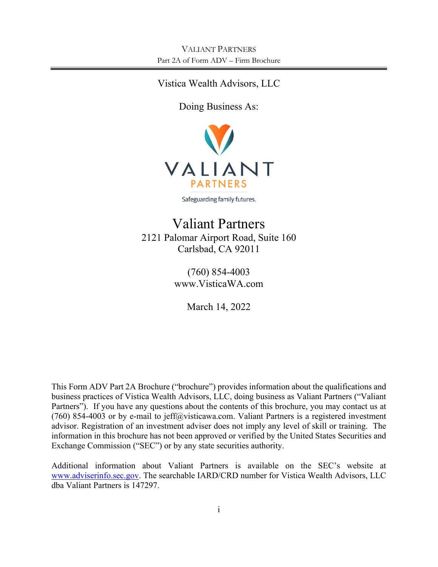# Vistica Wealth Advisors, LLC

Doing Business As:



Safeguarding family futures.

# Valiant Partners 2121 Palomar Airport Road, Suite 160 Carlsbad, CA 92011

(760) 854-4003 www.VisticaWA.com

March 14, 2022

This Form ADV Part 2A Brochure ("brochure") provides information about the qualifications and business practices of Vistica Wealth Advisors, LLC, doing business as Valiant Partners ("Valiant Partners"). If you have any questions about the contents of this brochure, you may contact us at (760) 854-4003 or by e-mail to jeff@visticawa.com. Valiant Partners is a registered investment advisor. Registration of an investment adviser does not imply any level of skill or training. The information in this brochure has not been approved or verified by the United States Securities and Exchange Commission ("SEC") or by any state securities authority.

Additional information about Valiant Partners is available on the SEC's website at [www.adviserinfo.sec.gov.](http://www.adviserinfo.sec.gov/) The searchable IARD/CRD number for Vistica Wealth Advisors, LLC dba Valiant Partners is 147297.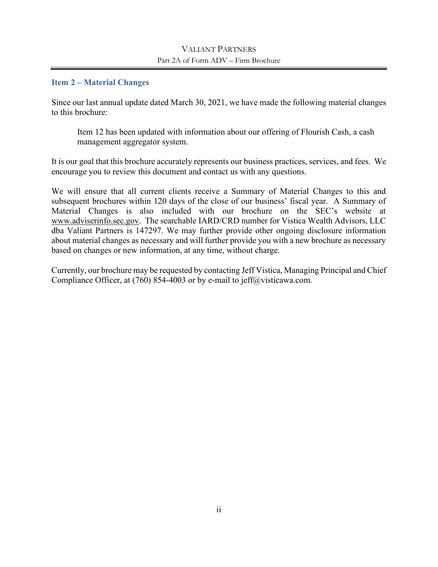## VALIANT PARTNERS Part 2A of Form ADV – Firm Brochure

## <span id="page-1-0"></span>**Item 2 – Material Changes**

Since our last annual update dated March 30, 2021, we have made the following material changes to this brochure:

Item 12 has been updated with information about our offering of Flourish Cash, a cash management aggregator system.

It is our goal that this brochure accurately represents our business practices, services, and fees. We encourage you to review this document and contact us with any questions.

We will ensure that all current clients receive a Summary of Material Changes to this and subsequent brochures within 120 days of the close of our business' fiscal year. A Summary of Material Changes is also included with our brochure on the SEC's website at [www.adviserinfo.sec.gov.](http://www.adviserinfo.sec.gov/) The searchable IARD/CRD number for Vistica Wealth Advisors, LLC dba Valiant Partners is 147297. We may further provide other ongoing disclosure information about material changes as necessary and will further provide you with a new brochure as necessary based on changes or new information, at any time, without charge.

Currently, our brochure may be requested by contacting Jeff Vistica, Managing Principal and Chief Compliance Officer, at  $(760)$  854-4003 or by e-mail to jeff@visticawa.com.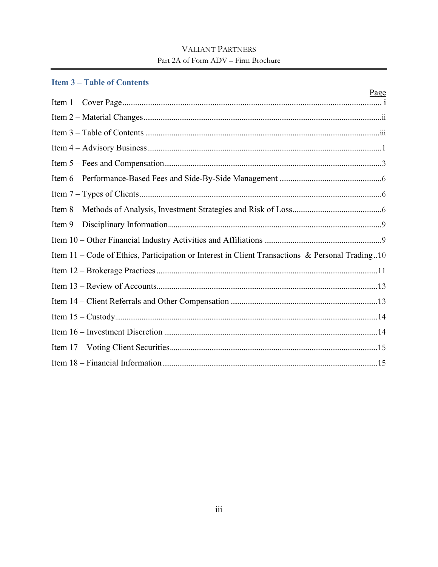# **VALIANT PARTNERS** Part 2A of Form ADV - Firm Brochure

## <span id="page-2-0"></span>**Item 3-Table of Contents**

|                                                                                                 | Page |
|-------------------------------------------------------------------------------------------------|------|
|                                                                                                 |      |
|                                                                                                 |      |
|                                                                                                 |      |
|                                                                                                 |      |
|                                                                                                 |      |
|                                                                                                 |      |
|                                                                                                 |      |
|                                                                                                 |      |
|                                                                                                 |      |
|                                                                                                 |      |
| Item 11 – Code of Ethics, Participation or Interest in Client Transactions & Personal Trading10 |      |
|                                                                                                 |      |
|                                                                                                 |      |
|                                                                                                 |      |
|                                                                                                 |      |
|                                                                                                 |      |
|                                                                                                 |      |
|                                                                                                 |      |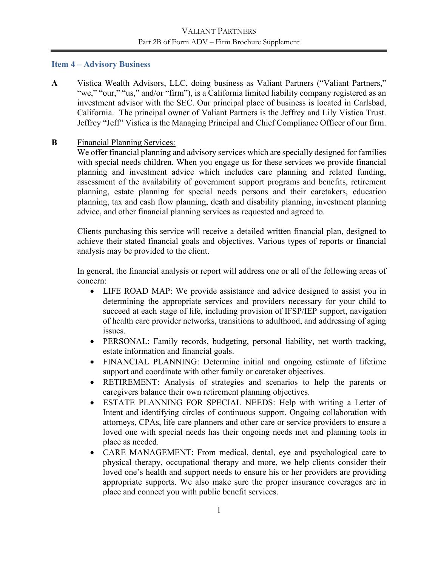## <span id="page-3-0"></span>**Item 4 – Advisory Business**

**A** Vistica Wealth Advisors, LLC, doing business as Valiant Partners ("Valiant Partners," "we," "our," "us," and/or "firm"), is a California limited liability company registered as an investment advisor with the SEC. Our principal place of business is located in Carlsbad, California. The principal owner of Valiant Partners is the Jeffrey and Lily Vistica Trust. Jeffrey "Jeff" Vistica is the Managing Principal and Chief Compliance Officer of our firm.

## **B** Financial Planning Services:

We offer financial planning and advisory services which are specially designed for families with special needs children. When you engage us for these services we provide financial planning and investment advice which includes care planning and related funding, assessment of the availability of government support programs and benefits, retirement planning, estate planning for special needs persons and their caretakers, education planning, tax and cash flow planning, death and disability planning, investment planning advice, and other financial planning services as requested and agreed to.

Clients purchasing this service will receive a detailed written financial plan, designed to achieve their stated financial goals and objectives. Various types of reports or financial analysis may be provided to the client.

In general, the financial analysis or report will address one or all of the following areas of concern:

- LIFE ROAD MAP: We provide assistance and advice designed to assist you in determining the appropriate services and providers necessary for your child to succeed at each stage of life, including provision of IFSP/IEP support, navigation of health care provider networks, transitions to adulthood, and addressing of aging issues.
- PERSONAL: Family records, budgeting, personal liability, net worth tracking, estate information and financial goals.
- FINANCIAL PLANNING: Determine initial and ongoing estimate of lifetime support and coordinate with other family or caretaker objectives.
- RETIREMENT: Analysis of strategies and scenarios to help the parents or caregivers balance their own retirement planning objectives.
- ESTATE PLANNING FOR SPECIAL NEEDS: Help with writing a Letter of Intent and identifying circles of continuous support. Ongoing collaboration with attorneys, CPAs, life care planners and other care or service providers to ensure a loved one with special needs has their ongoing needs met and planning tools in place as needed.
- CARE MANAGEMENT: From medical, dental, eye and psychological care to physical therapy, occupational therapy and more, we help clients consider their loved one's health and support needs to ensure his or her providers are providing appropriate supports. We also make sure the proper insurance coverages are in place and connect you with public benefit services.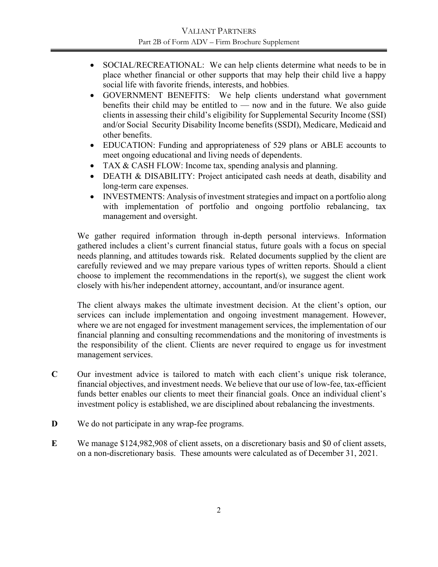- SOCIAL/RECREATIONAL: We can help clients determine what needs to be in place whether financial or other supports that may help their child live a happy social life with favorite friends, interests, and hobbies.
- GOVERNMENT BENEFITS: We help clients understand what government benefits their child may be entitled to — now and in the future. We also guide clients in assessing their child's eligibility for Supplemental Security Income (SSI) and/or Social Security Disability Income benefits (SSDI), Medicare, Medicaid and other benefits.
- EDUCATION: Funding and appropriateness of 529 plans or ABLE accounts to meet ongoing educational and living needs of dependents.
- TAX & CASH FLOW: Income tax, spending analysis and planning.
- DEATH & DISABILITY: Project anticipated cash needs at death, disability and long-term care expenses.
- INVESTMENTS: Analysis of investment strategies and impact on a portfolio along with implementation of portfolio and ongoing portfolio rebalancing, tax management and oversight.

We gather required information through in-depth personal interviews. Information gathered includes a client's current financial status, future goals with a focus on special needs planning, and attitudes towards risk. Related documents supplied by the client are carefully reviewed and we may prepare various types of written reports. Should a client choose to implement the recommendations in the report(s), we suggest the client work closely with his/her independent attorney, accountant, and/or insurance agent.

The client always makes the ultimate investment decision. At the client's option, our services can include implementation and ongoing investment management. However, where we are not engaged for investment management services, the implementation of our financial planning and consulting recommendations and the monitoring of investments is the responsibility of the client. Clients are never required to engage us for investment management services.

- **C** Our investment advice is tailored to match with each client's unique risk tolerance, financial objectives, and investment needs. We believe that our use of low-fee, tax-efficient funds better enables our clients to meet their financial goals. Once an individual client's investment policy is established, we are disciplined about rebalancing the investments.
- **D** We do not participate in any wrap-fee programs.
- **E** We manage \$124,982,908 of client assets, on a discretionary basis and \$0 of client assets, on a non-discretionary basis. These amounts were calculated as of December 31, 2021.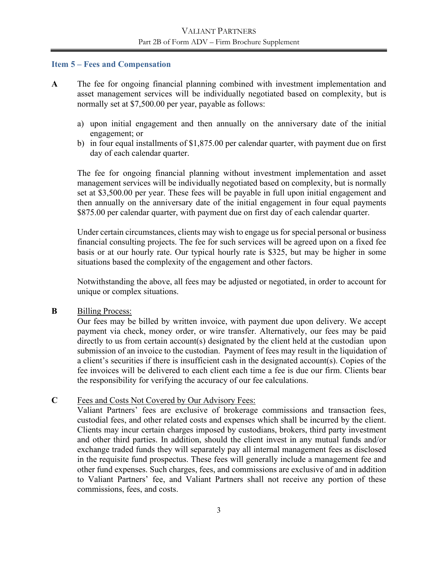#### <span id="page-5-0"></span>**Item 5 – Fees and Compensation**

- **A** The fee for ongoing financial planning combined with investment implementation and asset management services will be individually negotiated based on complexity, but is normally set at \$7,500.00 per year, payable as follows:
	- a) upon initial engagement and then annually on the anniversary date of the initial engagement; or
	- b) in four equal installments of \$1,875.00 per calendar quarter, with payment due on first day of each calendar quarter.

The fee for ongoing financial planning without investment implementation and asset management services will be individually negotiated based on complexity, but is normally set at \$3,500.00 per year. These fees will be payable in full upon initial engagement and then annually on the anniversary date of the initial engagement in four equal payments \$875.00 per calendar quarter, with payment due on first day of each calendar quarter.

Under certain circumstances, clients may wish to engage us for special personal or business financial consulting projects. The fee for such services will be agreed upon on a fixed fee basis or at our hourly rate. Our typical hourly rate is \$325, but may be higher in some situations based the complexity of the engagement and other factors.

Notwithstanding the above, all fees may be adjusted or negotiated, in order to account for unique or complex situations.

## **B** Billing Process:

Our fees may be billed by written invoice, with payment due upon delivery. We accept payment via check, money order, or wire transfer. Alternatively, our fees may be paid directly to us from certain account(s) designated by the client held at the custodian upon submission of an invoice to the custodian. Payment of fees may result in the liquidation of a client's securities if there is insufficient cash in the designated account(s). Copies of the fee invoices will be delivered to each client each time a fee is due our firm. Clients bear the responsibility for verifying the accuracy of our fee calculations.

## **C** Fees and Costs Not Covered by Our Advisory Fees:

Valiant Partners' fees are exclusive of brokerage commissions and transaction fees, custodial fees, and other related costs and expenses which shall be incurred by the client. Clients may incur certain charges imposed by custodians, brokers, third party investment and other third parties. In addition, should the client invest in any mutual funds and/or exchange traded funds they will separately pay all internal management fees as disclosed in the requisite fund prospectus. These fees will generally include a management fee and other fund expenses. Such charges, fees, and commissions are exclusive of and in addition to Valiant Partners' fee, and Valiant Partners shall not receive any portion of these commissions, fees, and costs.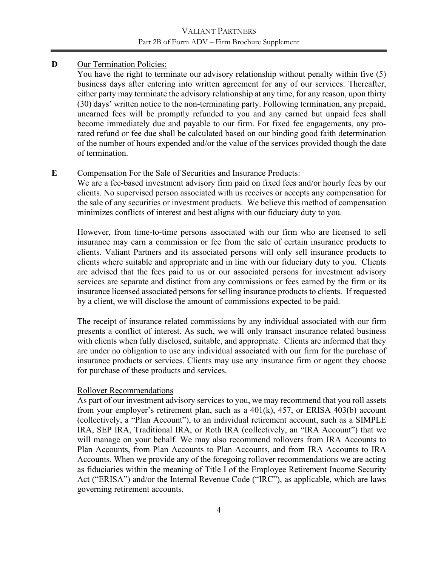## **D** Our Termination Policies:

You have the right to terminate our advisory relationship without penalty within five (5) business days after entering into written agreement for any of our services. Thereafter, either party may terminate the advisory relationship at any time, for any reason, upon thirty (30) days' written notice to the non-terminating party. Following termination, any prepaid, unearned fees will be promptly refunded to you and any earned but unpaid fees shall become immediately due and payable to our firm. For fixed fee engagements, any prorated refund or fee due shall be calculated based on our binding good faith determination of the number of hours expended and/or the value of the services provided though the date of termination.

## **E** Compensation For the Sale of Securities and Insurance Products:

We are a fee-based investment advisory firm paid on fixed fees and/or hourly fees by our clients. No supervised person associated with us receives or accepts any compensation for the sale of any securities or investment products. We believe this method of compensation minimizes conflicts of interest and best aligns with our fiduciary duty to you.

However, from time-to-time persons associated with our firm who are licensed to sell insurance may earn a commission or fee from the sale of certain insurance products to clients. Valiant Partners and its associated persons will only sell insurance products to clients where suitable and appropriate and in line with our fiduciary duty to you. Clients are advised that the fees paid to us or our associated persons for investment advisory services are separate and distinct from any commissions or fees earned by the firm or its insurance licensed associated persons for selling insurance products to clients. If requested by a client, we will disclose the amount of commissions expected to be paid.

The receipt of insurance related commissions by any individual associated with our firm presents a conflict of interest. As such, we will only transact insurance related business with clients when fully disclosed, suitable, and appropriate. Clients are informed that they are under no obligation to use any individual associated with our firm for the purchase of insurance products or services. Clients may use any insurance firm or agent they choose for purchase of these products and services.

## Rollover Recommendations

As part of our investment advisory services to you, we may recommend that you roll assets from your employer's retirement plan, such as a 401(k), 457, or ERISA 403(b) account (collectively, a "Plan Account"), to an individual retirement account, such as a SIMPLE IRA, SEP IRA, Traditional IRA, or Roth IRA (collectively, an "IRA Account") that we will manage on your behalf. We may also recommend rollovers from IRA Accounts to Plan Accounts, from Plan Accounts to Plan Accounts, and from IRA Accounts to IRA Accounts. When we provide any of the foregoing rollover recommendations we are acting as fiduciaries within the meaning of Title I of the Employee Retirement Income Security Act ("ERISA") and/or the Internal Revenue Code ("IRC"), as applicable, which are laws governing retirement accounts.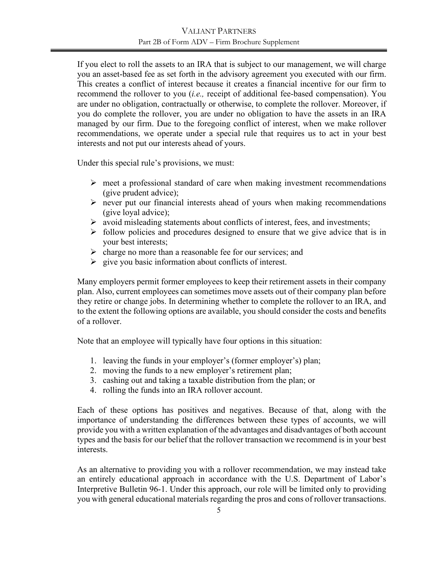If you elect to roll the assets to an IRA that is subject to our management, we will charge you an asset-based fee as set forth in the advisory agreement you executed with our firm. This creates a conflict of interest because it creates a financial incentive for our firm to recommend the rollover to you (*i.e.,* receipt of additional fee-based compensation). You are under no obligation, contractually or otherwise, to complete the rollover. Moreover, if you do complete the rollover, you are under no obligation to have the assets in an IRA managed by our firm. Due to the foregoing conflict of interest, when we make rollover recommendations, we operate under a special rule that requires us to act in your best interests and not put our interests ahead of yours.

Under this special rule's provisions, we must:

- $\triangleright$  meet a professional standard of care when making investment recommendations (give prudent advice);
- $\triangleright$  never put our financial interests ahead of yours when making recommendations (give loyal advice);
- $\triangleright$  avoid misleading statements about conflicts of interest, fees, and investments;
- $\triangleright$  follow policies and procedures designed to ensure that we give advice that is in your best interests;
- $\triangleright$  charge no more than a reasonable fee for our services; and
- $\triangleright$  give you basic information about conflicts of interest.

Many employers permit former employees to keep their retirement assets in their company plan. Also, current employees can sometimes move assets out of their company plan before they retire or change jobs. In determining whether to complete the rollover to an IRA, and to the extent the following options are available, you should consider the costs and benefits of a rollover.

Note that an employee will typically have four options in this situation:

- 1. leaving the funds in your employer's (former employer's) plan;
- 2. moving the funds to a new employer's retirement plan;
- 3. cashing out and taking a taxable distribution from the plan; or
- 4. rolling the funds into an IRA rollover account.

Each of these options has positives and negatives. Because of that, along with the importance of understanding the differences between these types of accounts, we will provide you with a written explanation of the advantages and disadvantages of both account types and the basis for our belief that the rollover transaction we recommend is in your best interests.

As an alternative to providing you with a rollover recommendation, we may instead take an entirely educational approach in accordance with the U.S. Department of Labor's Interpretive Bulletin 96-1. Under this approach, our role will be limited only to providing you with general educational materials regarding the pros and cons of rollover transactions.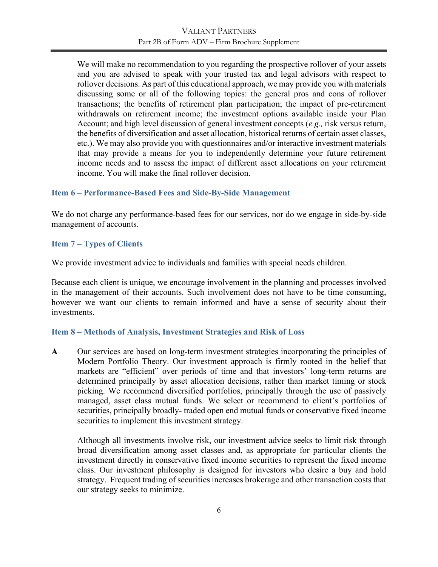We will make no recommendation to you regarding the prospective rollover of your assets and you are advised to speak with your trusted tax and legal advisors with respect to rollover decisions. As part of this educational approach, we may provide you with materials discussing some or all of the following topics: the general pros and cons of rollover transactions; the benefits of retirement plan participation; the impact of pre-retirement withdrawals on retirement income; the investment options available inside your Plan Account; and high level discussion of general investment concepts (*e.g.,* risk versus return, the benefits of diversification and asset allocation, historical returns of certain asset classes, etc.). We may also provide you with questionnaires and/or interactive investment materials that may provide a means for you to independently determine your future retirement income needs and to assess the impact of different asset allocations on your retirement income. You will make the final rollover decision.

#### <span id="page-8-0"></span>**Item 6 – Performance-Based Fees and Side-By-Side Management**

We do not charge any performance-based fees for our services, nor do we engage in side-by-side management of accounts.

## <span id="page-8-1"></span>**Item 7 – Types of Clients**

We provide investment advice to individuals and families with special needs children.

Because each client is unique, we encourage involvement in the planning and processes involved in the management of their accounts. Such involvement does not have to be time consuming, however we want our clients to remain informed and have a sense of security about their investments.

#### <span id="page-8-2"></span>**Item 8 – Methods of Analysis, Investment Strategies and Risk of Loss**

**A** Our services are based on long-term investment strategies incorporating the principles of Modern Portfolio Theory. Our investment approach is firmly rooted in the belief that markets are "efficient" over periods of time and that investors' long-term returns are determined principally by asset allocation decisions, rather than market timing or stock picking. We recommend diversified portfolios, principally through the use of passively managed, asset class mutual funds. We select or recommend to client's portfolios of securities, principally broadly- traded open end mutual funds or conservative fixed income securities to implement this investment strategy.

Although all investments involve risk, our investment advice seeks to limit risk through broad diversification among asset classes and, as appropriate for particular clients the investment directly in conservative fixed income securities to represent the fixed income class. Our investment philosophy is designed for investors who desire a buy and hold strategy. Frequent trading of securities increases brokerage and other transaction costs that our strategy seeks to minimize.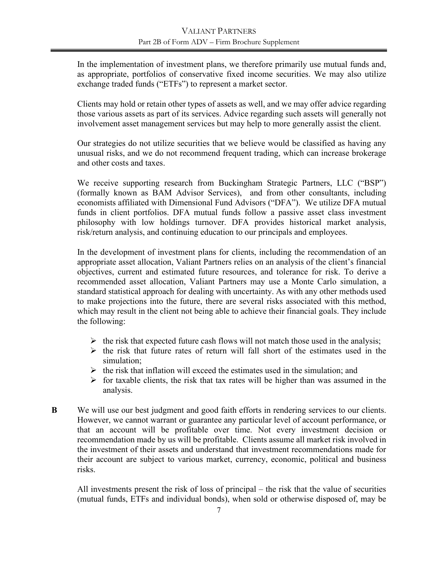In the implementation of investment plans, we therefore primarily use mutual funds and, as appropriate, portfolios of conservative fixed income securities. We may also utilize exchange traded funds ("ETFs") to represent a market sector.

Clients may hold or retain other types of assets as well, and we may offer advice regarding those various assets as part of its services. Advice regarding such assets will generally not involvement asset management services but may help to more generally assist the client.

Our strategies do not utilize securities that we believe would be classified as having any unusual risks, and we do not recommend frequent trading, which can increase brokerage and other costs and taxes.

We receive supporting research from Buckingham Strategic Partners, LLC ("BSP") (formally known as BAM Advisor Services), and from other consultants, including economists affiliated with Dimensional Fund Advisors ("DFA"). We utilize DFA mutual funds in client portfolios. DFA mutual funds follow a passive asset class investment philosophy with low holdings turnover. DFA provides historical market analysis, risk/return analysis, and continuing education to our principals and employees.

In the development of investment plans for clients, including the recommendation of an appropriate asset allocation, Valiant Partners relies on an analysis of the client's financial objectives, current and estimated future resources, and tolerance for risk. To derive a recommended asset allocation, Valiant Partners may use a Monte Carlo simulation, a standard statistical approach for dealing with uncertainty. As with any other methods used to make projections into the future, there are several risks associated with this method, which may result in the client not being able to achieve their financial goals. They include the following:

- $\triangleright$  the risk that expected future cash flows will not match those used in the analysis;
- $\triangleright$  the risk that future rates of return will fall short of the estimates used in the simulation;
- $\triangleright$  the risk that inflation will exceed the estimates used in the simulation; and
- $\triangleright$  for taxable clients, the risk that tax rates will be higher than was assumed in the analysis.
- **B** We will use our best judgment and good faith efforts in rendering services to our clients. However, we cannot warrant or guarantee any particular level of account performance, or that an account will be profitable over time. Not every investment decision or recommendation made by us will be profitable. Clients assume all market risk involved in the investment of their assets and understand that investment recommendations made for their account are subject to various market, currency, economic, political and business risks.

All investments present the risk of loss of principal – the risk that the value of securities (mutual funds, ETFs and individual bonds), when sold or otherwise disposed of, may be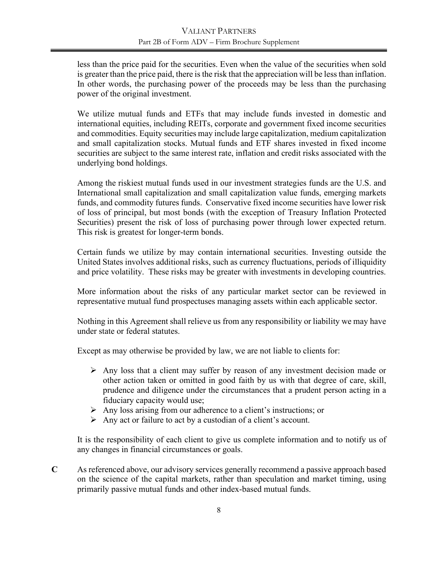less than the price paid for the securities. Even when the value of the securities when sold is greater than the price paid, there is the risk that the appreciation will be less than inflation. In other words, the purchasing power of the proceeds may be less than the purchasing power of the original investment.

We utilize mutual funds and ETFs that may include funds invested in domestic and international equities, including REITs, corporate and government fixed income securities and commodities. Equity securities may include large capitalization, medium capitalization and small capitalization stocks. Mutual funds and ETF shares invested in fixed income securities are subject to the same interest rate, inflation and credit risks associated with the underlying bond holdings.

Among the riskiest mutual funds used in our investment strategies funds are the U.S. and International small capitalization and small capitalization value funds, emerging markets funds, and commodity futures funds. Conservative fixed income securities have lower risk of loss of principal, but most bonds (with the exception of Treasury Inflation Protected Securities) present the risk of loss of purchasing power through lower expected return. This risk is greatest for longer-term bonds.

Certain funds we utilize by may contain international securities. Investing outside the United States involves additional risks, such as currency fluctuations, periods of illiquidity and price volatility. These risks may be greater with investments in developing countries.

More information about the risks of any particular market sector can be reviewed in representative mutual fund prospectuses managing assets within each applicable sector.

Nothing in this Agreement shall relieve us from any responsibility or liability we may have under state or federal statutes.

Except as may otherwise be provided by law, we are not liable to clients for:

- $\triangleright$  Any loss that a client may suffer by reason of any investment decision made or other action taken or omitted in good faith by us with that degree of care, skill, prudence and diligence under the circumstances that a prudent person acting in a fiduciary capacity would use;
- $\triangleright$  Any loss arising from our adherence to a client's instructions; or
- $\triangleright$  Any act or failure to act by a custodian of a client's account.

It is the responsibility of each client to give us complete information and to notify us of any changes in financial circumstances or goals.

**C** As referenced above, our advisory services generally recommend a passive approach based on the science of the capital markets, rather than speculation and market timing, using primarily passive mutual funds and other index-based mutual funds.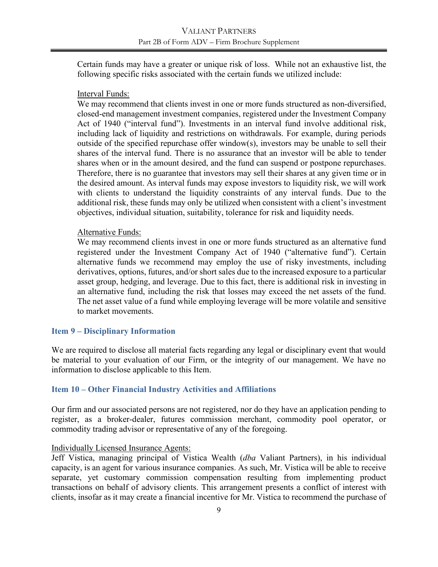Certain funds may have a greater or unique risk of loss. While not an exhaustive list, the following specific risks associated with the certain funds we utilized include:

#### Interval Funds:

We may recommend that clients invest in one or more funds structured as non-diversified, closed-end management investment companies, registered under the Investment Company Act of 1940 ("interval fund"). Investments in an interval fund involve additional risk, including lack of liquidity and restrictions on withdrawals. For example, during periods outside of the specified repurchase offer window(s), investors may be unable to sell their shares of the interval fund. There is no assurance that an investor will be able to tender shares when or in the amount desired, and the fund can suspend or postpone repurchases. Therefore, there is no guarantee that investors may sell their shares at any given time or in the desired amount. As interval funds may expose investors to liquidity risk, we will work with clients to understand the liquidity constraints of any interval funds. Due to the additional risk, these funds may only be utilized when consistent with a client's investment objectives, individual situation, suitability, tolerance for risk and liquidity needs.

#### Alternative Funds:

We may recommend clients invest in one or more funds structured as an alternative fund registered under the Investment Company Act of 1940 ("alternative fund"). Certain alternative funds we recommend may employ the use of risky investments, including derivatives, options, futures, and/or short sales due to the increased exposure to a particular asset group, hedging, and leverage. Due to this fact, there is additional risk in investing in an alternative fund, including the risk that losses may exceed the net assets of the fund. The net asset value of a fund while employing leverage will be more volatile and sensitive to market movements.

#### <span id="page-11-0"></span>**Item 9 – Disciplinary Information**

We are required to disclose all material facts regarding any legal or disciplinary event that would be material to your evaluation of our Firm, or the integrity of our management. We have no information to disclose applicable to this Item.

#### <span id="page-11-1"></span>**Item 10 – Other Financial Industry Activities and Affiliations**

Our firm and our associated persons are not registered, nor do they have an application pending to register, as a broker-dealer, futures commission merchant, commodity pool operator, or commodity trading advisor or representative of any of the foregoing.

#### Individually Licensed Insurance Agents:

Jeff Vistica, managing principal of Vistica Wealth (*dba* Valiant Partners), in his individual capacity, is an agent for various insurance companies. As such, Mr. Vistica will be able to receive separate, yet customary commission compensation resulting from implementing product transactions on behalf of advisory clients. This arrangement presents a conflict of interest with clients, insofar as it may create a financial incentive for Mr. Vistica to recommend the purchase of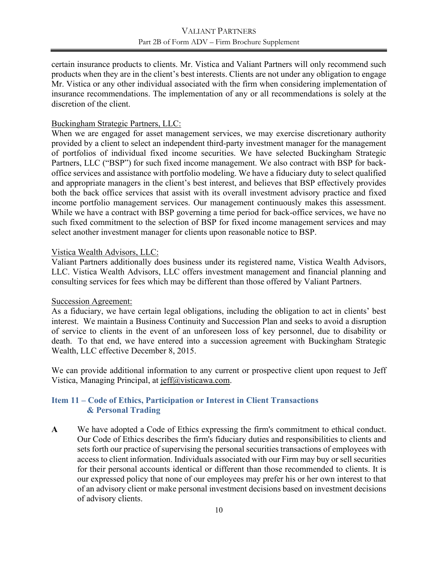certain insurance products to clients. Mr. Vistica and Valiant Partners will only recommend such products when they are in the client's best interests. Clients are not under any obligation to engage Mr. Vistica or any other individual associated with the firm when considering implementation of insurance recommendations. The implementation of any or all recommendations is solely at the discretion of the client.

#### Buckingham Strategic Partners, LLC:

When we are engaged for asset management services, we may exercise discretionary authority provided by a client to select an independent third-party investment manager for the management of portfolios of individual fixed income securities. We have selected Buckingham Strategic Partners, LLC ("BSP") for such fixed income management. We also contract with BSP for backoffice services and assistance with portfolio modeling. We have a fiduciary duty to select qualified and appropriate managers in the client's best interest, and believes that BSP effectively provides both the back office services that assist with its overall investment advisory practice and fixed income portfolio management services. Our management continuously makes this assessment. While we have a contract with BSP governing a time period for back-office services, we have no such fixed commitment to the selection of BSP for fixed income management services and may select another investment manager for clients upon reasonable notice to BSP.

#### Vistica Wealth Advisors, LLC:

Valiant Partners additionally does business under its registered name, Vistica Wealth Advisors, LLC. Vistica Wealth Advisors, LLC offers investment management and financial planning and consulting services for fees which may be different than those offered by Valiant Partners.

#### Succession Agreement:

As a fiduciary, we have certain legal obligations, including the obligation to act in clients' best interest. We maintain a Business Continuity and Succession Plan and seeks to avoid a disruption of service to clients in the event of an unforeseen loss of key personnel, due to disability or death. To that end, we have entered into a succession agreement with Buckingham Strategic Wealth, LLC effective December 8, 2015.

We can provide additional information to any current or prospective client upon request to Jeff Vistica, Managing Principal, at [jeff@visticawa.com.](mailto:jeff@visticawa.com)

## <span id="page-12-0"></span>**Item 11 – Code of Ethics, Participation or Interest in Client Transactions & Personal Trading**

**A** We have adopted a Code of Ethics expressing the firm's commitment to ethical conduct. Our Code of Ethics describes the firm's fiduciary duties and responsibilities to clients and sets forth our practice of supervising the personal securities transactions of employees with access to client information. Individuals associated with our Firm may buy or sell securities for their personal accounts identical or different than those recommended to clients. It is our expressed policy that none of our employees may prefer his or her own interest to that of an advisory client or make personal investment decisions based on investment decisions of advisory clients.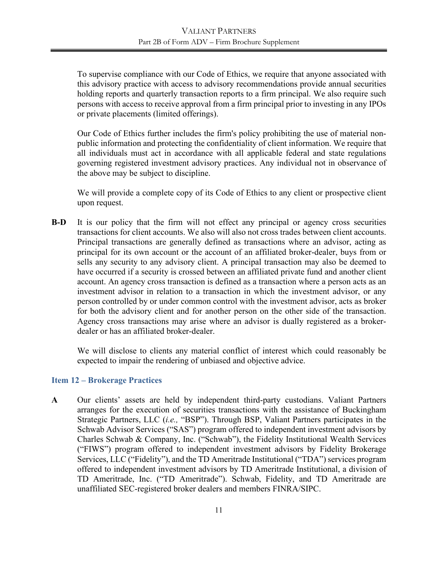To supervise compliance with our Code of Ethics, we require that anyone associated with this advisory practice with access to advisory recommendations provide annual securities holding reports and quarterly transaction reports to a firm principal. We also require such persons with access to receive approval from a firm principal prior to investing in any IPOs or private placements (limited offerings).

Our Code of Ethics further includes the firm's policy prohibiting the use of material nonpublic information and protecting the confidentiality of client information. We require that all individuals must act in accordance with all applicable federal and state regulations governing registered investment advisory practices. Any individual not in observance of the above may be subject to discipline.

We will provide a complete copy of its Code of Ethics to any client or prospective client upon request.

**B-D** It is our policy that the firm will not effect any principal or agency cross securities transactions for client accounts. We also will also not cross trades between client accounts. Principal transactions are generally defined as transactions where an advisor, acting as principal for its own account or the account of an affiliated broker-dealer, buys from or sells any security to any advisory client. A principal transaction may also be deemed to have occurred if a security is crossed between an affiliated private fund and another client account. An agency cross transaction is defined as a transaction where a person acts as an investment advisor in relation to a transaction in which the investment advisor, or any person controlled by or under common control with the investment advisor, acts as broker for both the advisory client and for another person on the other side of the transaction. Agency cross transactions may arise where an advisor is dually registered as a brokerdealer or has an affiliated broker-dealer.

We will disclose to clients any material conflict of interest which could reasonably be expected to impair the rendering of unbiased and objective advice.

## <span id="page-13-0"></span>**Item 12 – Brokerage Practices**

**A** Our clients' assets are held by independent third-party custodians. Valiant Partners arranges for the execution of securities transactions with the assistance of Buckingham Strategic Partners, LLC (*i.e.,* "BSP"). Through BSP, Valiant Partners participates in the Schwab Advisor Services ("SAS") program offered to independent investment advisors by Charles Schwab & Company, Inc. ("Schwab"), the Fidelity Institutional Wealth Services ("FIWS") program offered to independent investment advisors by Fidelity Brokerage Services, LLC ("Fidelity"), and the TD Ameritrade Institutional ("TDA") services program offered to independent investment advisors by TD Ameritrade Institutional, a division of TD Ameritrade, Inc. ("TD Ameritrade"). Schwab, Fidelity, and TD Ameritrade are unaffiliated SEC-registered broker dealers and members FINRA/SIPC.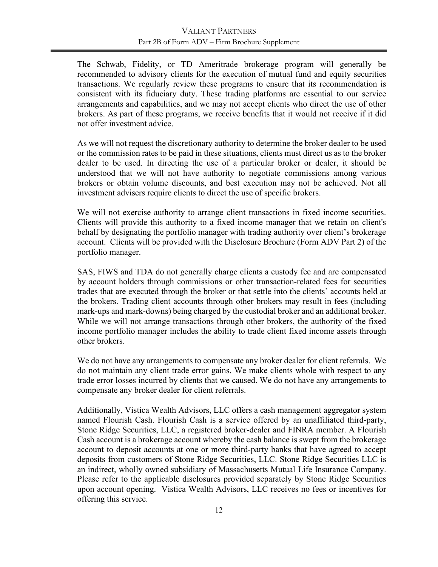The Schwab, Fidelity, or TD Ameritrade brokerage program will generally be recommended to advisory clients for the execution of mutual fund and equity securities transactions. We regularly review these programs to ensure that its recommendation is consistent with its fiduciary duty. These trading platforms are essential to our service arrangements and capabilities, and we may not accept clients who direct the use of other brokers. As part of these programs, we receive benefits that it would not receive if it did not offer investment advice.

As we will not request the discretionary authority to determine the broker dealer to be used or the commission rates to be paid in these situations, clients must direct us as to the broker dealer to be used. In directing the use of a particular broker or dealer, it should be understood that we will not have authority to negotiate commissions among various brokers or obtain volume discounts, and best execution may not be achieved. Not all investment advisers require clients to direct the use of specific brokers.

We will not exercise authority to arrange client transactions in fixed income securities. Clients will provide this authority to a fixed income manager that we retain on client's behalf by designating the portfolio manager with trading authority over client's brokerage account. Clients will be provided with the Disclosure Brochure (Form ADV Part 2) of the portfolio manager.

SAS, FIWS and TDA do not generally charge clients a custody fee and are compensated by account holders through commissions or other transaction-related fees for securities trades that are executed through the broker or that settle into the clients' accounts held at the brokers. Trading client accounts through other brokers may result in fees (including mark-ups and mark-downs) being charged by the custodial broker and an additional broker. While we will not arrange transactions through other brokers, the authority of the fixed income portfolio manager includes the ability to trade client fixed income assets through other brokers.

We do not have any arrangements to compensate any broker dealer for client referrals. We do not maintain any client trade error gains. We make clients whole with respect to any trade error losses incurred by clients that we caused. We do not have any arrangements to compensate any broker dealer for client referrals.

Additionally, Vistica Wealth Advisors, LLC offers a cash management aggregator system named Flourish Cash. Flourish Cash is a service offered by an unaffiliated third-party, Stone Ridge Securities, LLC, a registered broker-dealer and FINRA member. A Flourish Cash account is a brokerage account whereby the cash balance is swept from the brokerage account to deposit accounts at one or more third-party banks that have agreed to accept deposits from customers of Stone Ridge Securities, LLC. Stone Ridge Securities LLC is an indirect, wholly owned subsidiary of Massachusetts Mutual Life Insurance Company. Please refer to the applicable disclosures provided separately by Stone Ridge Securities upon account opening. Vistica Wealth Advisors, LLC receives no fees or incentives for offering this service.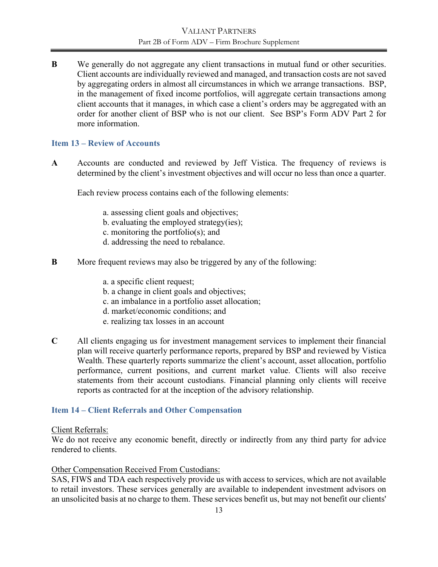**B** We generally do not aggregate any client transactions in mutual fund or other securities. Client accounts are individually reviewed and managed, and transaction costs are not saved by aggregating orders in almost all circumstances in which we arrange transactions. BSP, in the management of fixed income portfolios, will aggregate certain transactions among client accounts that it manages, in which case a client's orders may be aggregated with an order for another client of BSP who is not our client. See BSP's Form ADV Part 2 for more information.

## <span id="page-15-0"></span>**Item 13 – Review of Accounts**

**A** Accounts are conducted and reviewed by Jeff Vistica. The frequency of reviews is determined by the client's investment objectives and will occur no less than once a quarter.

Each review process contains each of the following elements:

- a. assessing client goals and objectives;
- b. evaluating the employed strategy(ies);
- c. monitoring the portfolio(s); and
- d. addressing the need to rebalance.
- **B** More frequent reviews may also be triggered by any of the following:
	- a. a specific client request;
	- b. a change in client goals and objectives;
	- c. an imbalance in a portfolio asset allocation;
	- d. market/economic conditions; and
	- e. realizing tax losses in an account
- **C** All clients engaging us for investment management services to implement their financial plan will receive quarterly performance reports, prepared by BSP and reviewed by Vistica Wealth. These quarterly reports summarize the client's account, asset allocation, portfolio performance, current positions, and current market value. Clients will also receive statements from their account custodians. Financial planning only clients will receive reports as contracted for at the inception of the advisory relationship.

## <span id="page-15-1"></span>**Item 14 – Client Referrals and Other Compensation**

#### Client Referrals:

We do not receive any economic benefit, directly or indirectly from any third party for advice rendered to clients.

#### Other Compensation Received From Custodians:

SAS, FIWS and TDA each respectively provide us with access to services, which are not available to retail investors. These services generally are available to independent investment advisors on an unsolicited basis at no charge to them. These services benefit us, but may not benefit our clients'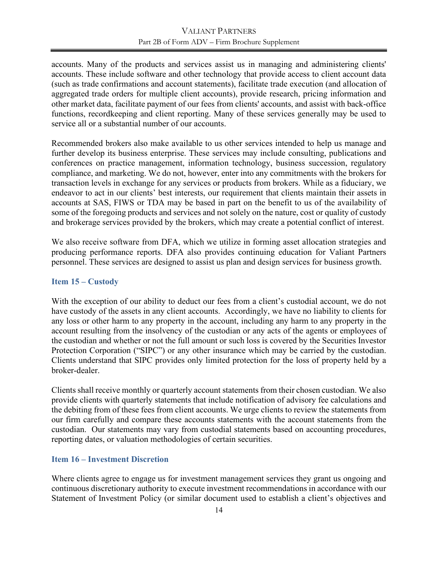accounts. Many of the products and services assist us in managing and administering clients' accounts. These include software and other technology that provide access to client account data (such as trade confirmations and account statements), facilitate trade execution (and allocation of aggregated trade orders for multiple client accounts), provide research, pricing information and other market data, facilitate payment of our fees from clients' accounts, and assist with back-office functions, recordkeeping and client reporting. Many of these services generally may be used to service all or a substantial number of our accounts.

Recommended brokers also make available to us other services intended to help us manage and further develop its business enterprise. These services may include consulting, publications and conferences on practice management, information technology, business succession, regulatory compliance, and marketing. We do not, however, enter into any commitments with the brokers for transaction levels in exchange for any services or products from brokers. While as a fiduciary, we endeavor to act in our clients' best interests, our requirement that clients maintain their assets in accounts at SAS, FIWS or TDA may be based in part on the benefit to us of the availability of some of the foregoing products and services and not solely on the nature, cost or quality of custody and brokerage services provided by the brokers, which may create a potential conflict of interest.

We also receive software from DFA, which we utilize in forming asset allocation strategies and producing performance reports. DFA also provides continuing education for Valiant Partners personnel. These services are designed to assist us plan and design services for business growth.

#### <span id="page-16-0"></span>**Item 15 – Custody**

With the exception of our ability to deduct our fees from a client's custodial account, we do not have custody of the assets in any client accounts. Accordingly, we have no liability to clients for any loss or other harm to any property in the account, including any harm to any property in the account resulting from the insolvency of the custodian or any acts of the agents or employees of the custodian and whether or not the full amount or such loss is covered by the Securities Investor Protection Corporation ("SIPC") or any other insurance which may be carried by the custodian. Clients understand that SIPC provides only limited protection for the loss of property held by a broker-dealer.

Clients shall receive monthly or quarterly account statements from their chosen custodian. We also provide clients with quarterly statements that include notification of advisory fee calculations and the debiting from of these fees from client accounts. We urge clients to review the statements from our firm carefully and compare these accounts statements with the account statements from the custodian. Our statements may vary from custodial statements based on accounting procedures, reporting dates, or valuation methodologies of certain securities.

#### <span id="page-16-1"></span>**Item 16 – Investment Discretion**

Where clients agree to engage us for investment management services they grant us ongoing and continuous discretionary authority to execute investment recommendations in accordance with our Statement of Investment Policy (or similar document used to establish a client's objectives and